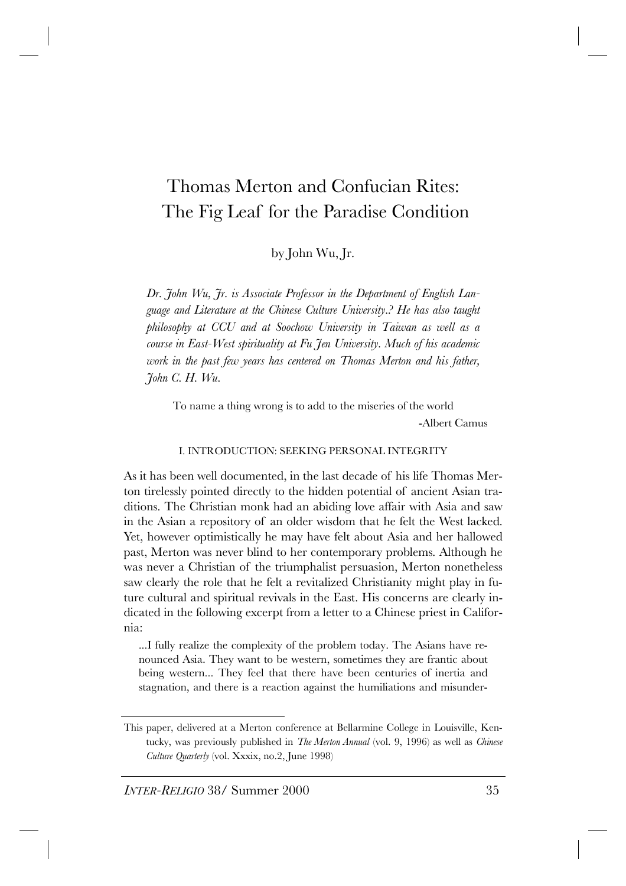# Thomas Merton and Confucian Rites: The Fig Leaf for the Paradise Condition

## by John Wu, Jr.

*Dr. John Wu, Jr. is Associate Professor in the Department of English Language and Literature at the Chinese Culture University.? He has also taught philosophy at CCU and at Soochow University in Taiwan as well as a course in East-West spirituality at Fu Jen University. Much of his academic work in the past few years has centered on Thomas Merton and his father, John C. H. Wu.* 

To name a thing wrong is to add to the miseries of the world -Albert Camus

## I. INTRODUCTION: SEEKING PERSONAL INTEGRITY

As it has been well documented, in the last decade of his life Thomas Merton tirelessly pointed directly to the hidden potential of ancient Asian traditions. The Christian monk had an abiding love affair with Asia and saw in the Asian a repository of an older wisdom that he felt the West lacked. Yet, however optimistically he may have felt about Asia and her hallowed past, Merton was never blind to her contemporary problems. Although he was never a Christian of the triumphalist persuasion, Merton nonetheless saw clearly the role that he felt a revitalized Christianity might play in future cultural and spiritual revivals in the East. His concerns are clearly indicated in the following excerpt from a letter to a Chinese priest in California:

...I fully realize the complexity of the problem today. The Asians have renounced Asia. They want to be western, sometimes they are frantic about being western... They feel that there have been centuries of inertia and stagnation, and there is a reaction against the humiliations and misunder-

This paper, delivered at a Merton conference at Bellarmine College in Louisville, Kentucky, was previously published in *The Merton Annual* (vol. 9, 1996) as well as *Chinese Culture Quarterly* (vol. Xxxix, no.2, June 1998)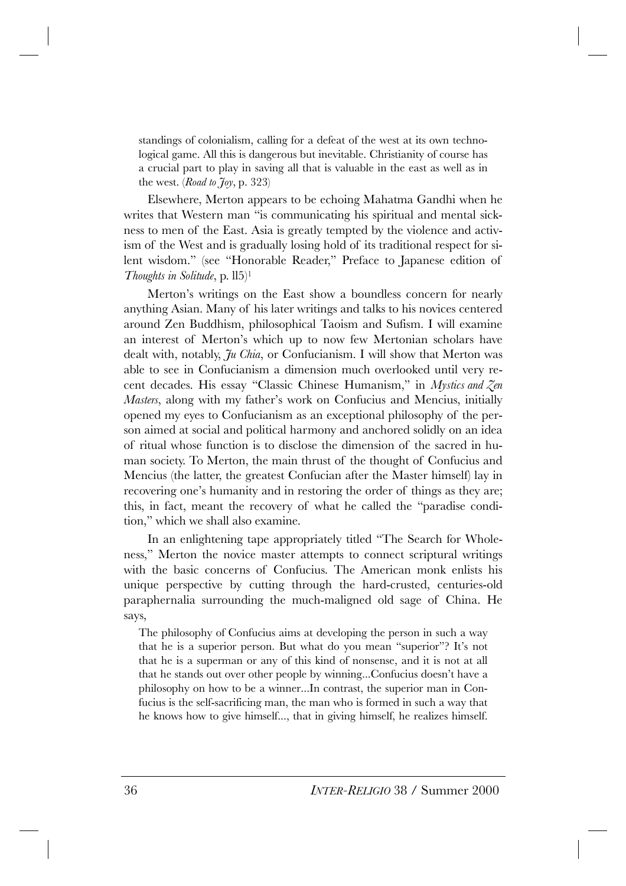standings of colonialism, calling for a defeat of the west at its own technological game. All this is dangerous but inevitable. Christianity of course has a crucial part to play in saving all that is valuable in the east as well as in the west. (*Road to Joy*, p. 323)

Elsewhere, Merton appears to be echoing Mahatma Gandhi when he writes that Western man "is communicating his spiritual and mental sickness to men of the East. Asia is greatly tempted by the violence and activism of the West and is gradually losing hold of its traditional respect for silent wisdom." (see "Honorable Reader," Preface to Japanese edition of *Thoughts in Solitude*, p. 115)<sup>1</sup>

Merton's writings on the East show a boundless concern for nearly anything Asian. Many of his later writings and talks to his novices centered around Zen Buddhism, philosophical Taoism and Sufism. I will examine an interest of Mertonís which up to now few Mertonian scholars have dealt with, notably, *Ju Chia*, or Confucianism. I will show that Merton was able to see in Confucianism a dimension much overlooked until very recent decades. His essay "Classic Chinese Humanism," in *Mystics and Zen Masters*, along with my father's work on Confucius and Mencius, initially opened my eyes to Confucianism as an exceptional philosophy of the person aimed at social and political harmony and anchored solidly on an idea of ritual whose function is to disclose the dimension of the sacred in human society. To Merton, the main thrust of the thought of Confucius and Mencius (the latter, the greatest Confucian after the Master himself) lay in recovering one's humanity and in restoring the order of things as they are; this, in fact, meant the recovery of what he called the "paradise condition," which we shall also examine.

In an enlightening tape appropriately titled "The Search for Wholeness," Merton the novice master attempts to connect scriptural writings with the basic concerns of Confucius. The American monk enlists his unique perspective by cutting through the hard-crusted, centuries-old paraphernalia surrounding the much-maligned old sage of China. He says,

The philosophy of Confucius aims at developing the person in such a way that he is a superior person. But what do you mean "superior"? It's not that he is a superman or any of this kind of nonsense, and it is not at all that he stands out over other people by winning...Confucius doesn't have a philosophy on how to be a winner...In contrast, the superior man in Confucius is the self-sacrificing man, the man who is formed in such a way that he knows how to give himself..., that in giving himself, he realizes himself.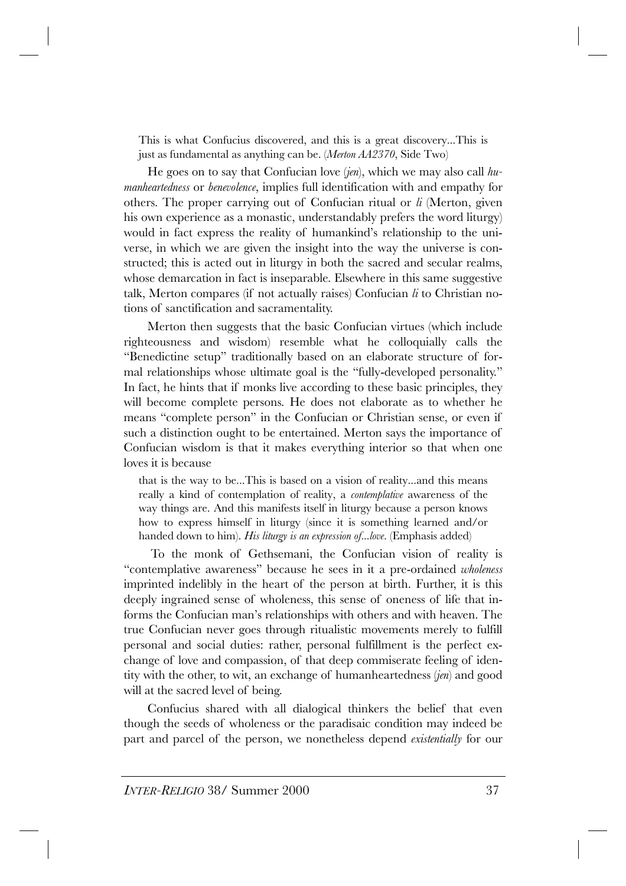This is what Confucius discovered, and this is a great discovery...This is just as fundamental as anything can be. (*Merton AA2370*, Side Two)

He goes on to say that Confucian love (*jen*), which we may also call *humanheartedness* or *benevolence*, implies full identification with and empathy for others. The proper carrying out of Confucian ritual or *li* (Merton, given his own experience as a monastic, understandably prefers the word liturgy) would in fact express the reality of humankind's relationship to the universe, in which we are given the insight into the way the universe is constructed; this is acted out in liturgy in both the sacred and secular realms, whose demarcation in fact is inseparable. Elsewhere in this same suggestive talk, Merton compares (if not actually raises) Confucian *li* to Christian notions of sanctification and sacramentality.

Merton then suggests that the basic Confucian virtues (which include righteousness and wisdom) resemble what he colloquially calls the "Benedictine setup" traditionally based on an elaborate structure of formal relationships whose ultimate goal is the "fully-developed personality." In fact, he hints that if monks live according to these basic principles, they will become complete persons. He does not elaborate as to whether he means "complete person" in the Confucian or Christian sense, or even if such a distinction ought to be entertained. Merton says the importance of Confucian wisdom is that it makes everything interior so that when one loves it is because

that is the way to be...This is based on a vision of reality...and this means really a kind of contemplation of reality, a *contemplative* awareness of the way things are. And this manifests itself in liturgy because a person knows how to express himself in liturgy (since it is something learned and/or handed down to him). *His liturgy is an expression of...love*. (Emphasis added)

 To the monk of Gethsemani, the Confucian vision of reality is ìcontemplative awarenessî because he sees in it a pre-ordained *wholeness* imprinted indelibly in the heart of the person at birth. Further, it is this deeply ingrained sense of wholeness, this sense of oneness of life that informs the Confucian man's relationships with others and with heaven. The true Confucian never goes through ritualistic movements merely to fulfill personal and social duties: rather, personal fulfillment is the perfect exchange of love and compassion, of that deep commiserate feeling of identity with the other, to wit, an exchange of humanheartedness (*jen*) and good will at the sacred level of being.

Confucius shared with all dialogical thinkers the belief that even though the seeds of wholeness or the paradisaic condition may indeed be part and parcel of the person, we nonetheless depend *existentially* for our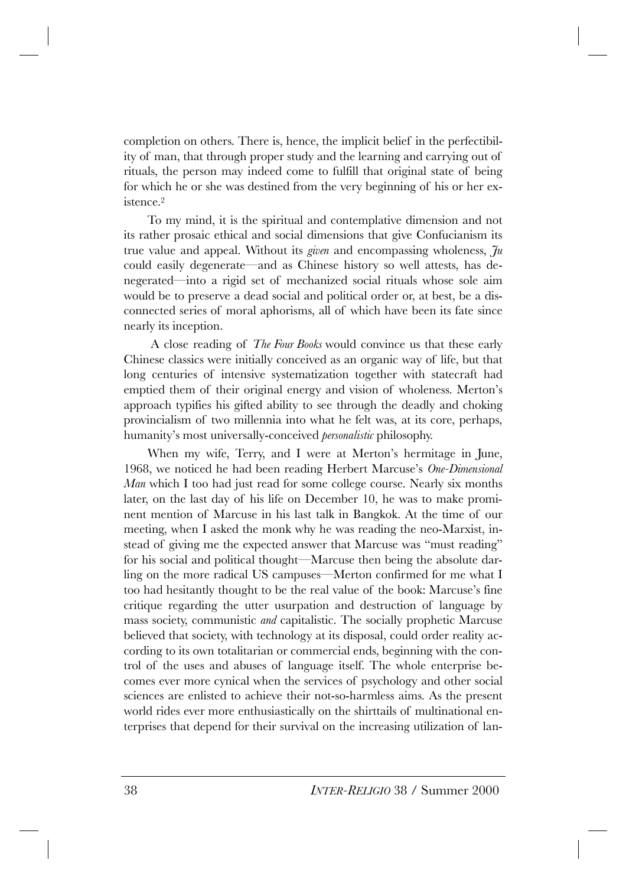completion on others. There is, hence, the implicit belief in the perfectibility of man, that through proper study and the learning and carrying out of rituals, the person may indeed come to fulfill that original state of being for which he or she was destined from the very beginning of his or her existence.2

To my mind, it is the spiritual and contemplative dimension and not its rather prosaic ethical and social dimensions that give Confucianism its true value and appeal. Without its *given* and encompassing wholeness, *Ju* could easily degenerate—and as Chinese history so well attests, has denegerated—into a rigid set of mechanized social rituals whose sole aim would be to preserve a dead social and political order or, at best, be a disconnected series of moral aphorisms, all of which have been its fate since nearly its inception.

 A close reading of *The Four Books* would convince us that these early Chinese classics were initially conceived as an organic way of life, but that long centuries of intensive systematization together with statecraft had emptied them of their original energy and vision of wholeness. Merton's approach typifies his gifted ability to see through the deadly and choking provincialism of two millennia into what he felt was, at its core, perhaps, humanity's most universally-conceived *personalistic* philosophy.

When my wife, Terry, and I were at Merton's hermitage in June, 1968, we noticed he had been reading Herbert Marcuse's *One-Dimensional Man* which I too had just read for some college course. Nearly six months later, on the last day of his life on December 10, he was to make prominent mention of Marcuse in his last talk in Bangkok. At the time of our meeting, when I asked the monk why he was reading the neo-Marxist, instead of giving me the expected answer that Marcuse was "must reading" for his social and political thought—Marcuse then being the absolute darling on the more radical US campuses—Merton confirmed for me what I too had hesitantly thought to be the real value of the book: Marcuse's fine critique regarding the utter usurpation and destruction of language by mass society, communistic *and* capitalistic. The socially prophetic Marcuse believed that society, with technology at its disposal, could order reality according to its own totalitarian or commercial ends, beginning with the control of the uses and abuses of language itself. The whole enterprise becomes ever more cynical when the services of psychology and other social sciences are enlisted to achieve their not-so-harmless aims. As the present world rides ever more enthusiastically on the shirttails of multinational enterprises that depend for their survival on the increasing utilization of lan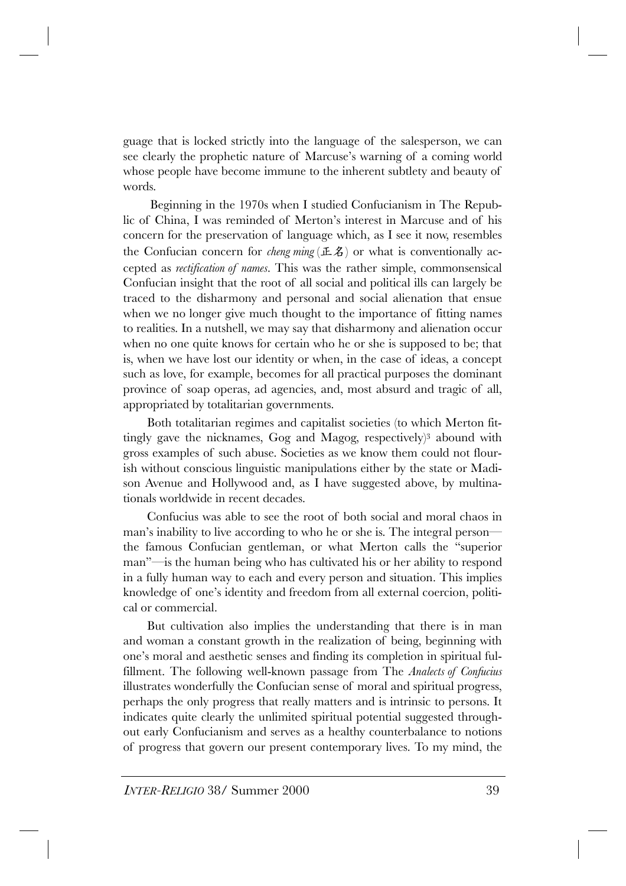guage that is locked strictly into the language of the salesperson, we can see clearly the prophetic nature of Marcuse's warning of a coming world whose people have become immune to the inherent subtlety and beauty of words.

 Beginning in the 1970s when I studied Confucianism in The Republic of China, I was reminded of Merton's interest in Marcuse and of his concern for the preservation of language which, as I see it now, resembles the Confucian concern for *cheng ming* ( $\pm \mathcal{Z}$ ) or what is conventionally accepted as *rectification of names*. This was the rather simple, commonsensical Confucian insight that the root of all social and political ills can largely be traced to the disharmony and personal and social alienation that ensue when we no longer give much thought to the importance of fitting names to realities. In a nutshell, we may say that disharmony and alienation occur when no one quite knows for certain who he or she is supposed to be; that is, when we have lost our identity or when, in the case of ideas, a concept such as love, for example, becomes for all practical purposes the dominant province of soap operas, ad agencies, and, most absurd and tragic of all, appropriated by totalitarian governments.

Both totalitarian regimes and capitalist societies (to which Merton fittingly gave the nicknames, Gog and Magog, respectively)<sup>3</sup> abound with gross examples of such abuse. Societies as we know them could not flourish without conscious linguistic manipulations either by the state or Madison Avenue and Hollywood and, as I have suggested above, by multinationals worldwide in recent decades.

Confucius was able to see the root of both social and moral chaos in man's inability to live according to who he or she is. The integral person the famous Confucian gentleman, or what Merton calls the "superior" man"—is the human being who has cultivated his or her ability to respond in a fully human way to each and every person and situation. This implies knowledge of one's identity and freedom from all external coercion, political or commercial.

But cultivation also implies the understanding that there is in man and woman a constant growth in the realization of being, beginning with one's moral and aesthetic senses and finding its completion in spiritual fulfillment. The following well-known passage from The *Analects of Confucius* illustrates wonderfully the Confucian sense of moral and spiritual progress, perhaps the only progress that really matters and is intrinsic to persons. It indicates quite clearly the unlimited spiritual potential suggested throughout early Confucianism and serves as a healthy counterbalance to notions of progress that govern our present contemporary lives. To my mind, the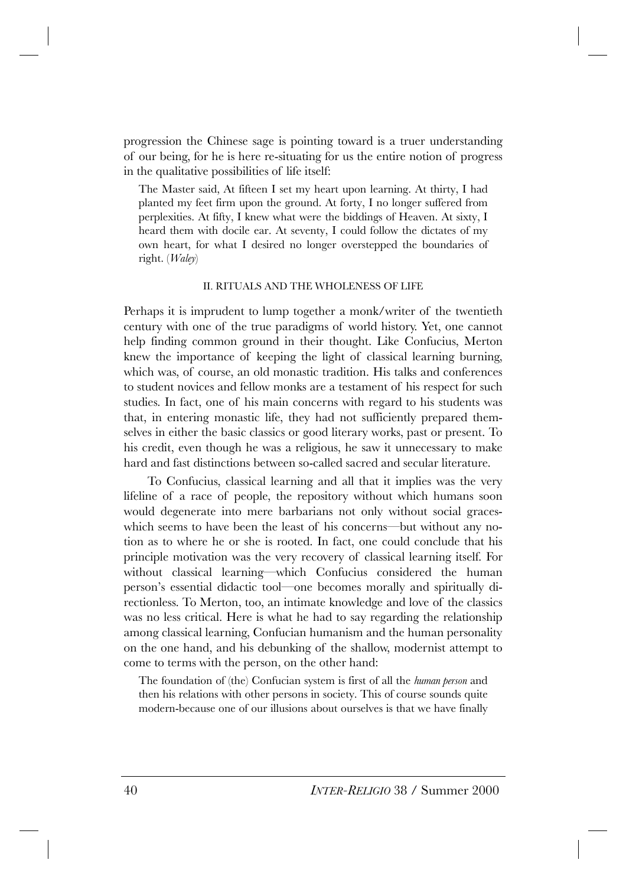progression the Chinese sage is pointing toward is a truer understanding of our being, for he is here re-situating for us the entire notion of progress in the qualitative possibilities of life itself:

The Master said, At fifteen I set my heart upon learning. At thirty, I had planted my feet firm upon the ground. At forty, I no longer suffered from perplexities. At fifty, I knew what were the biddings of Heaven. At sixty, I heard them with docile ear. At seventy, I could follow the dictates of my own heart, for what I desired no longer overstepped the boundaries of right. (*Waley*)

#### II. RITUALS AND THE WHOLENESS OF LIFE

Perhaps it is imprudent to lump together a monk/writer of the twentieth century with one of the true paradigms of world history. Yet, one cannot help finding common ground in their thought. Like Confucius, Merton knew the importance of keeping the light of classical learning burning, which was, of course, an old monastic tradition. His talks and conferences to student novices and fellow monks are a testament of his respect for such studies. In fact, one of his main concerns with regard to his students was that, in entering monastic life, they had not sufficiently prepared themselves in either the basic classics or good literary works, past or present. To his credit, even though he was a religious, he saw it unnecessary to make hard and fast distinctions between so-called sacred and secular literature.

To Confucius, classical learning and all that it implies was the very lifeline of a race of people, the repository without which humans soon would degenerate into mere barbarians not only without social graceswhich seems to have been the least of his concerns—but without any notion as to where he or she is rooted. In fact, one could conclude that his principle motivation was the very recovery of classical learning itself. For without classical learning—which Confucius considered the human person's essential didactic tool—one becomes morally and spiritually directionless. To Merton, too, an intimate knowledge and love of the classics was no less critical. Here is what he had to say regarding the relationship among classical learning, Confucian humanism and the human personality on the one hand, and his debunking of the shallow, modernist attempt to come to terms with the person, on the other hand:

The foundation of (the) Confucian system is first of all the *human person* and then his relations with other persons in society. This of course sounds quite modern-because one of our illusions about ourselves is that we have finally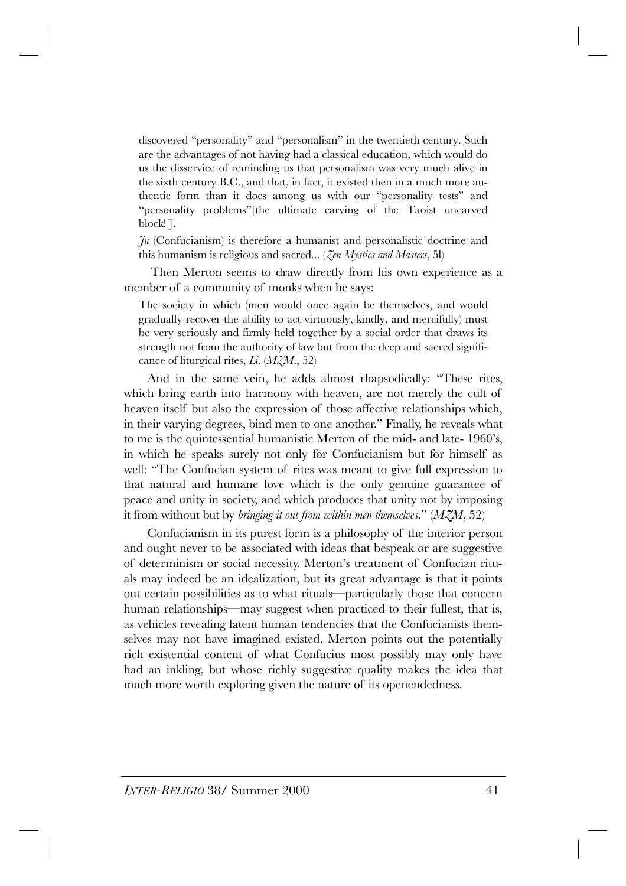discovered "personality" and "personalism" in the twentieth century. Such are the advantages of not having had a classical education, which would do us the disservice of reminding us that personalism was very much alive in the sixth century B.C., and that, in fact, it existed then in a much more authentic form than it does among us with our "personality tests" and "personality problems" [the ultimate carving of the Taoist uncarved block! ].

*Ju* (Confucianism) is therefore a humanist and personalistic doctrine and this humanism is religious and sacred... (*Zen Mystics and Masters*, 5l)

 Then Merton seems to draw directly from his own experience as a member of a community of monks when he says:

The society in which (men would once again be themselves, and would gradually recover the ability to act virtuously, kindly, and mercifully) must be very seriously and firmly held together by a social order that draws its strength not from the authority of law but from the deep and sacred significance of liturgical rites, *Li*. (*MZM*., 52)

And in the same vein, he adds almost rhapsodically: "These rites, which bring earth into harmony with heaven, are not merely the cult of heaven itself but also the expression of those affective relationships which, in their varying degrees, bind men to one another." Finally, he reveals what to me is the quintessential humanistic Merton of the mid- and late- 1960's, in which he speaks surely not only for Confucianism but for himself as well: "The Confucian system of rites was meant to give full expression to that natural and humane love which is the only genuine guarantee of peace and unity in society, and which produces that unity not by imposing it from without but by *bringing it out from within men themselves.*" (*MZM*, 52)

Confucianism in its purest form is a philosophy of the interior person and ought never to be associated with ideas that bespeak or are suggestive of determinism or social necessity. Merton's treatment of Confucian rituals may indeed be an idealization, but its great advantage is that it points out certain possibilities as to what rituals—particularly those that concern human relationships—may suggest when practiced to their fullest, that is, as vehicles revealing latent human tendencies that the Confucianists themselves may not have imagined existed. Merton points out the potentially rich existential content of what Confucius most possibly may only have had an inkling, but whose richly suggestive quality makes the idea that much more worth exploring given the nature of its openendedness.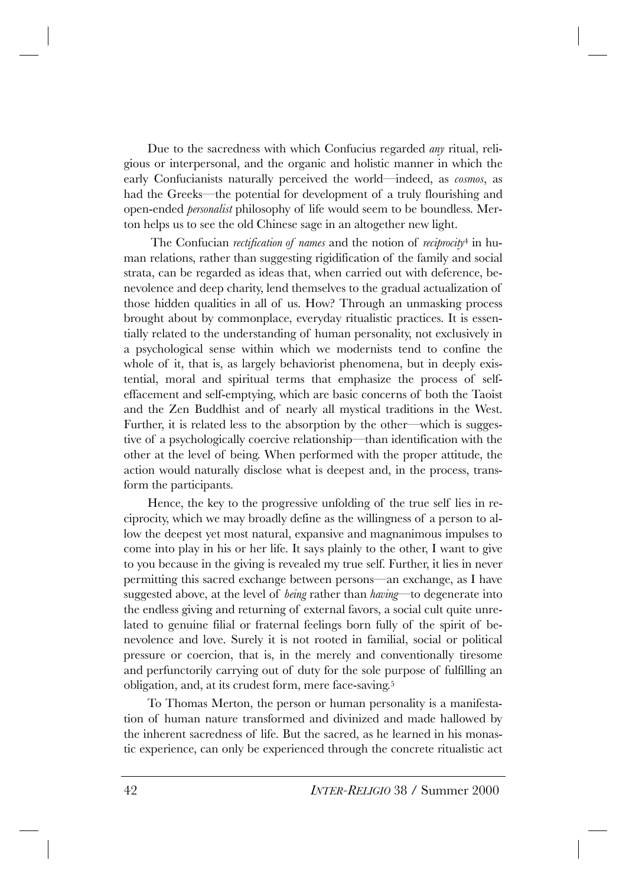Due to the sacredness with which Confucius regarded *any* ritual, religious or interpersonal, and the organic and holistic manner in which the early Confucianists naturally perceived the world—indeed, as *cosmos*, as had the Greeks—the potential for development of a truly flourishing and open-ended *personalist* philosophy of life would seem to be boundless. Merton helps us to see the old Chinese sage in an altogether new light.

 The Confucian *rectification of names* and the notion of *reciprocity*4 in human relations, rather than suggesting rigidification of the family and social strata, can be regarded as ideas that, when carried out with deference, benevolence and deep charity, lend themselves to the gradual actualization of those hidden qualities in all of us. How? Through an unmasking process brought about by commonplace, everyday ritualistic practices. It is essentially related to the understanding of human personality, not exclusively in a psychological sense within which we modernists tend to confine the whole of it, that is, as largely behaviorist phenomena, but in deeply existential, moral and spiritual terms that emphasize the process of selfeffacement and self-emptying, which are basic concerns of both the Taoist and the Zen Buddhist and of nearly all mystical traditions in the West. Further, it is related less to the absorption by the other—which is suggestive of a psychologically coercive relationship—than identification with the other at the level of being. When performed with the proper attitude, the action would naturally disclose what is deepest and, in the process, transform the participants.

Hence, the key to the progressive unfolding of the true self lies in reciprocity, which we may broadly define as the willingness of a person to allow the deepest yet most natural, expansive and magnanimous impulses to come into play in his or her life. It says plainly to the other, I want to give to you because in the giving is revealed my true self. Further, it lies in never permitting this sacred exchange between persons—an exchange, as I have suggested above, at the level of *being* rather than *having*—to degenerate into the endless giving and returning of external favors, a social cult quite unrelated to genuine filial or fraternal feelings born fully of the spirit of benevolence and love. Surely it is not rooted in familial, social or political pressure or coercion, that is, in the merely and conventionally tiresome and perfunctorily carrying out of duty for the sole purpose of fulfilling an obligation, and, at its crudest form, mere face-saving.5

To Thomas Merton, the person or human personality is a manifestation of human nature transformed and divinized and made hallowed by the inherent sacredness of life. But the sacred, as he learned in his monastic experience, can only be experienced through the concrete ritualistic act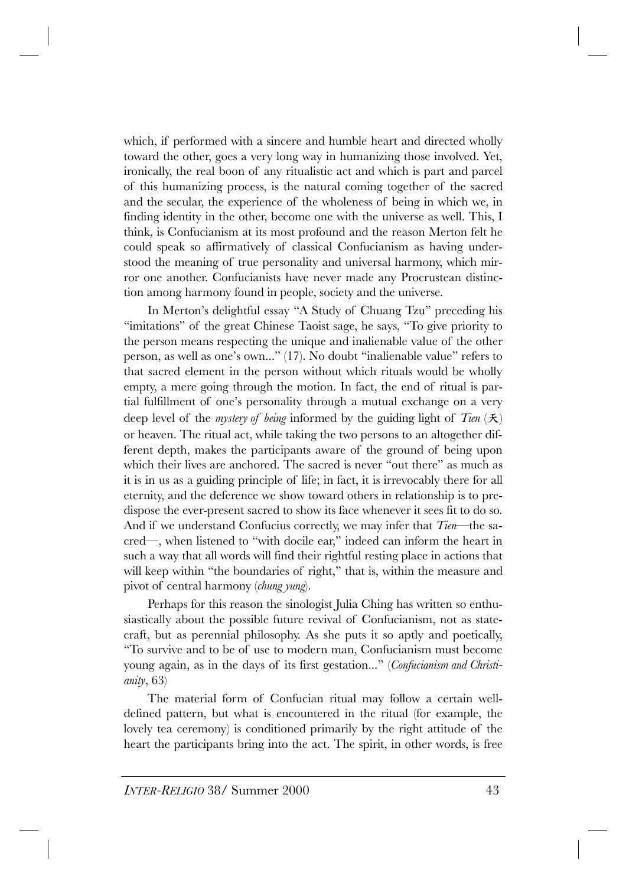which, if performed with a sincere and humble heart and directed wholly toward the other, goes a very long way in humanizing those involved. Yet, ironically, the real boon of any ritualistic act and which is part and parcel of this humanizing process, is the natural coming together of the sacred and the secular, the experience of the wholeness of being in which we, in finding identity in the other, become one with the universe as well. This, I think, is Confucianism at its most profound and the reason Merton felt he could speak so affirmatively of classical Confucianism as having understood the meaning of true personality and universal harmony, which mirror one another. Confucianists have never made any Procrustean distinction among harmony found in people, society and the universe.

In Merton's delightful essay "A Study of Chuang Tzu" preceding his "imitations" of the great Chinese Taoist sage, he says, "To give priority to the person means respecting the unique and inalienable value of the other person, as well as one's own..." (17). No doubt "inalienable value" refers to that sacred element in the person without which rituals would be wholly empty, a mere going through the motion. In fact, the end of ritual is partial fulfillment of one's personality through a mutual exchange on a very deep level of the *mystery of being* informed by the guiding light of *Tien* (天) or heaven. The ritual act, while taking the two persons to an altogether different depth, makes the participants aware of the ground of being upon which their lives are anchored. The sacred is never "out there" as much as it is in us as a guiding principle of life; in fact, it is irrevocably there for all eternity, and the deference we show toward others in relationship is to predispose the ever-present sacred to show its face whenever it sees fit to do so. And if we understand Confucius correctly, we may infer that *Tien*—the sacred—, when listened to "with docile ear," indeed can inform the heart in such a way that all words will find their rightful resting place in actions that will keep within "the boundaries of right," that is, within the measure and pivot of central harmony (*chung yung*).

Perhaps for this reason the sinologist Julia Ching has written so enthusiastically about the possible future revival of Confucianism, not as statecraft, but as perennial philosophy. As she puts it so aptly and poetically, ìTo survive and to be of use to modern man, Confucianism must become young again, as in the days of its first gestation..." (*Confucianism and Christianity*, 63)

The material form of Confucian ritual may follow a certain welldefined pattern, but what is encountered in the ritual (for example, the lovely tea ceremony) is conditioned primarily by the right attitude of the heart the participants bring into the act. The spirit, in other words, is free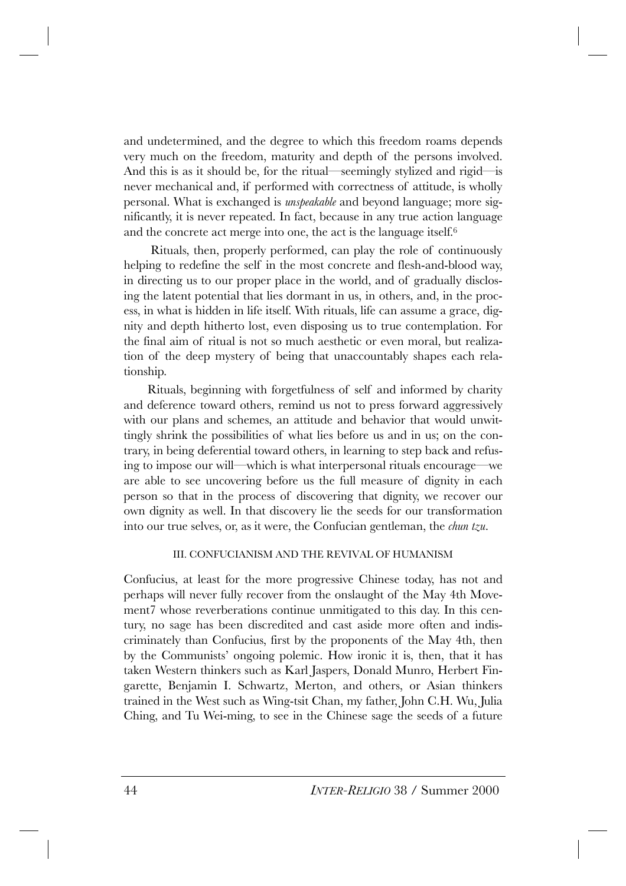and undetermined, and the degree to which this freedom roams depends very much on the freedom, maturity and depth of the persons involved. And this is as it should be, for the ritual—seemingly stylized and rigid—is never mechanical and, if performed with correctness of attitude, is wholly personal. What is exchanged is *unspeakable* and beyond language; more significantly, it is never repeated. In fact, because in any true action language and the concrete act merge into one, the act is the language itself.<sup>6</sup>

 Rituals, then, properly performed, can play the role of continuously helping to redefine the self in the most concrete and flesh-and-blood way, in directing us to our proper place in the world, and of gradually disclosing the latent potential that lies dormant in us, in others, and, in the process, in what is hidden in life itself. With rituals, life can assume a grace, dignity and depth hitherto lost, even disposing us to true contemplation. For the final aim of ritual is not so much aesthetic or even moral, but realization of the deep mystery of being that unaccountably shapes each relationship.

Rituals, beginning with forgetfulness of self and informed by charity and deference toward others, remind us not to press forward aggressively with our plans and schemes, an attitude and behavior that would unwittingly shrink the possibilities of what lies before us and in us; on the contrary, in being deferential toward others, in learning to step back and refusing to impose our will—which is what interpersonal rituals encourage—we are able to see uncovering before us the full measure of dignity in each person so that in the process of discovering that dignity, we recover our own dignity as well. In that discovery lie the seeds for our transformation into our true selves, or, as it were, the Confucian gentleman, the *chun tzu*.

## III. CONFUCIANISM AND THE REVIVAL OF HUMANISM

Confucius, at least for the more progressive Chinese today, has not and perhaps will never fully recover from the onslaught of the May 4th Movement7 whose reverberations continue unmitigated to this day. In this century, no sage has been discredited and cast aside more often and indiscriminately than Confucius, first by the proponents of the May 4th, then by the Communists' ongoing polemic. How ironic it is, then, that it has taken Western thinkers such as Karl Jaspers, Donald Munro, Herbert Fingarette, Benjamin I. Schwartz, Merton, and others, or Asian thinkers trained in the West such as Wing-tsit Chan, my father, John C.H. Wu, Julia Ching, and Tu Wei-ming, to see in the Chinese sage the seeds of a future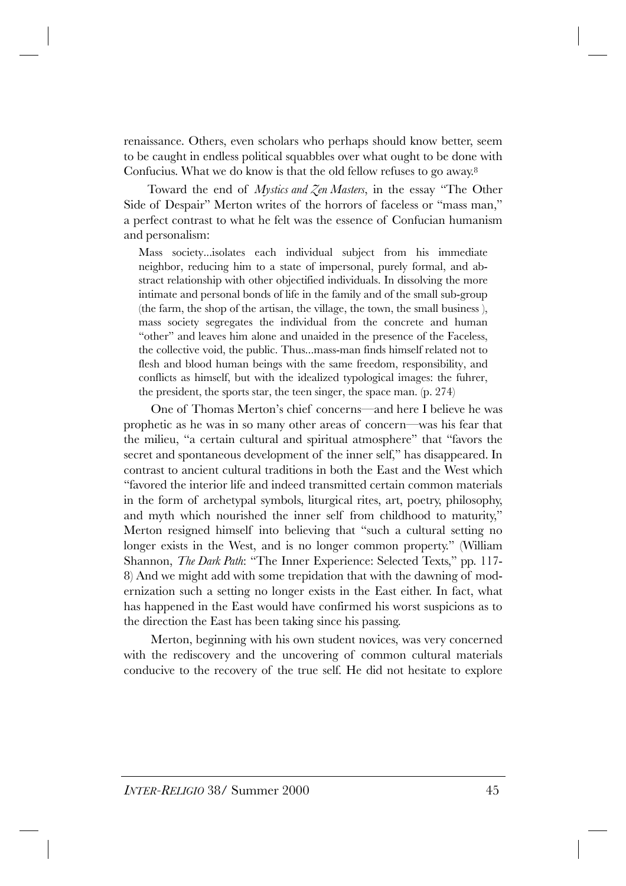renaissance. Others, even scholars who perhaps should know better, seem to be caught in endless political squabbles over what ought to be done with Confucius. What we do know is that the old fellow refuses to go away.8

Toward the end of *Mystics and Zen Masters*, in the essay "The Other Side of Despair" Merton writes of the horrors of faceless or "mass man," a perfect contrast to what he felt was the essence of Confucian humanism and personalism:

Mass society...isolates each individual subject from his immediate neighbor, reducing him to a state of impersonal, purely formal, and abstract relationship with other objectified individuals. In dissolving the more intimate and personal bonds of life in the family and of the small sub-group (the farm, the shop of the artisan, the village, the town, the small business ), mass society segregates the individual from the concrete and human "other" and leaves him alone and unaided in the presence of the Faceless, the collective void, the public. Thus...mass-man finds himself related not to flesh and blood human beings with the same freedom, responsibility, and conflicts as himself, but with the idealized typological images: the fuhrer, the president, the sports star, the teen singer, the space man. (p. 274)

One of Thomas Merton's chief concerns—and here I believe he was prophetic as he was in so many other areas of concern—was his fear that the milieu, "a certain cultural and spiritual atmosphere" that "favors the secret and spontaneous development of the inner self," has disappeared. In contrast to ancient cultural traditions in both the East and the West which ìfavored the interior life and indeed transmitted certain common materials in the form of archetypal symbols, liturgical rites, art, poetry, philosophy, and myth which nourished the inner self from childhood to maturity," Merton resigned himself into believing that "such a cultural setting no longer exists in the West, and is no longer common property." (William Shannon, *The Dark Path*: "The Inner Experience: Selected Texts," pp. 117-8) And we might add with some trepidation that with the dawning of modernization such a setting no longer exists in the East either. In fact, what has happened in the East would have confirmed his worst suspicions as to the direction the East has been taking since his passing.

 Merton, beginning with his own student novices, was very concerned with the rediscovery and the uncovering of common cultural materials conducive to the recovery of the true self. He did not hesitate to explore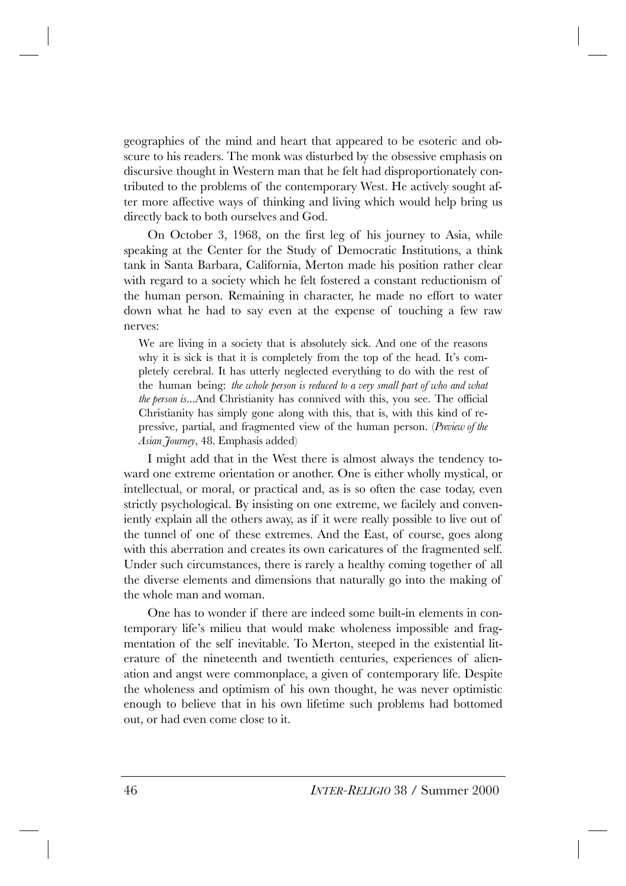geographies of the mind and heart that appeared to be esoteric and obscure to his readers. The monk was disturbed by the obsessive emphasis on discursive thought in Western man that he felt had disproportionately contributed to the problems of the contemporary West. He actively sought after more affective ways of thinking and living which would help bring us directly back to both ourselves and God.

On October 3, 1968, on the first leg of his journey to Asia, while speaking at the Center for the Study of Democratic Institutions, a think tank in Santa Barbara, California, Merton made his position rather clear with regard to a society which he felt fostered a constant reductionism of the human person. Remaining in character, he made no effort to water down what he had to say even at the expense of touching a few raw nerves:

We are living in a society that is absolutely sick. And one of the reasons why it is sick is that it is completely from the top of the head. It's completely cerebral. It has utterly neglected everything to do with the rest of the human being: *the whole person is reduced to a very small part of who and what the person is*...And Christianity has connived with this, you see. The official Christianity has simply gone along with this, that is, with this kind of repressive, partial, and fragmented view of the human person. (*Preview of the Asian Journey*, 48. Emphasis added)

I might add that in the West there is almost always the tendency toward one extreme orientation or another. One is either wholly mystical, or intellectual, or moral, or practical and, as is so often the case today, even strictly psychological. By insisting on one extreme, we facilely and conveniently explain all the others away, as if it were really possible to live out of the tunnel of one of these extremes. And the East, of course, goes along with this aberration and creates its own caricatures of the fragmented self. Under such circumstances, there is rarely a healthy coming together of all the diverse elements and dimensions that naturally go into the making of the whole man and woman.

One has to wonder if there are indeed some built-in elements in contemporary life's milieu that would make wholeness impossible and fragmentation of the self inevitable. To Merton, steeped in the existential literature of the nineteenth and twentieth centuries, experiences of alienation and angst were commonplace, a given of contemporary life. Despite the wholeness and optimism of his own thought, he was never optimistic enough to believe that in his own lifetime such problems had bottomed out, or had even come close to it.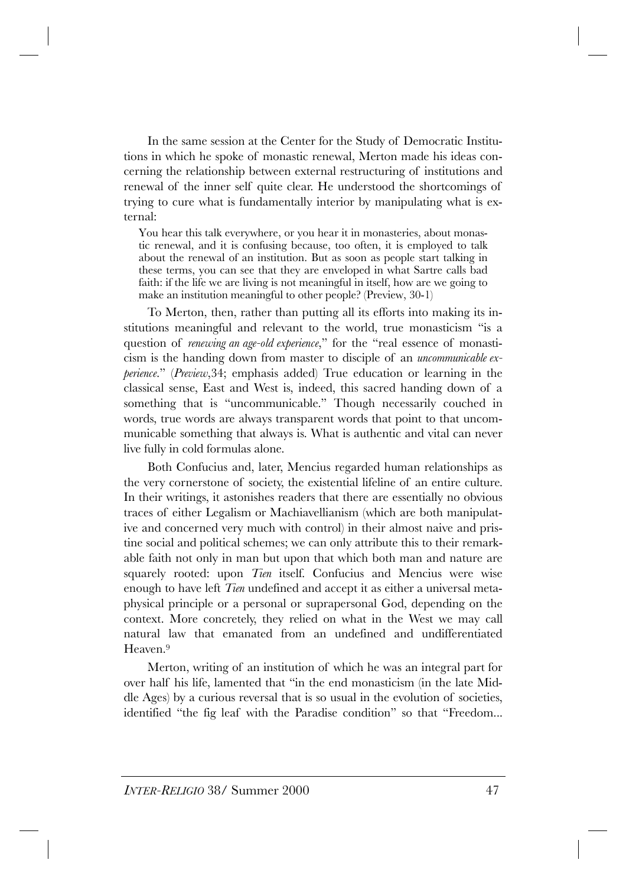In the same session at the Center for the Study of Democratic Institutions in which he spoke of monastic renewal, Merton made his ideas concerning the relationship between external restructuring of institutions and renewal of the inner self quite clear. He understood the shortcomings of trying to cure what is fundamentally interior by manipulating what is external:

You hear this talk everywhere, or you hear it in monasteries, about monastic renewal, and it is confusing because, too often, it is employed to talk about the renewal of an institution. But as soon as people start talking in these terms, you can see that they are enveloped in what Sartre calls bad faith: if the life we are living is not meaningful in itself, how are we going to make an institution meaningful to other people? (Preview, 30-1)

To Merton, then, rather than putting all its efforts into making its institutions meaningful and relevant to the world, true monasticism "is a question of *renewing an age-old experience*," for the "real essence of monasticism is the handing down from master to disciple of an *uncommunicable experience*.î (*Preview*,34; emphasis added) True education or learning in the classical sense, East and West is, indeed, this sacred handing down of a something that is "uncommunicable." Though necessarily couched in words, true words are always transparent words that point to that uncommunicable something that always is. What is authentic and vital can never live fully in cold formulas alone.

Both Confucius and, later, Mencius regarded human relationships as the very cornerstone of society, the existential lifeline of an entire culture. In their writings, it astonishes readers that there are essentially no obvious traces of either Legalism or Machiavellianism (which are both manipulative and concerned very much with control) in their almost naive and pristine social and political schemes; we can only attribute this to their remarkable faith not only in man but upon that which both man and nature are squarely rooted: upon *Tien* itself. Confucius and Mencius were wise enough to have left *Tien* undefined and accept it as either a universal metaphysical principle or a personal or suprapersonal God, depending on the context. More concretely, they relied on what in the West we may call natural law that emanated from an undefined and undifferentiated Heaven.9

Merton, writing of an institution of which he was an integral part for over half his life, lamented that "in the end monasticism (in the late Middle Ages) by a curious reversal that is so usual in the evolution of societies, identified "the fig leaf with the Paradise condition" so that "Freedom...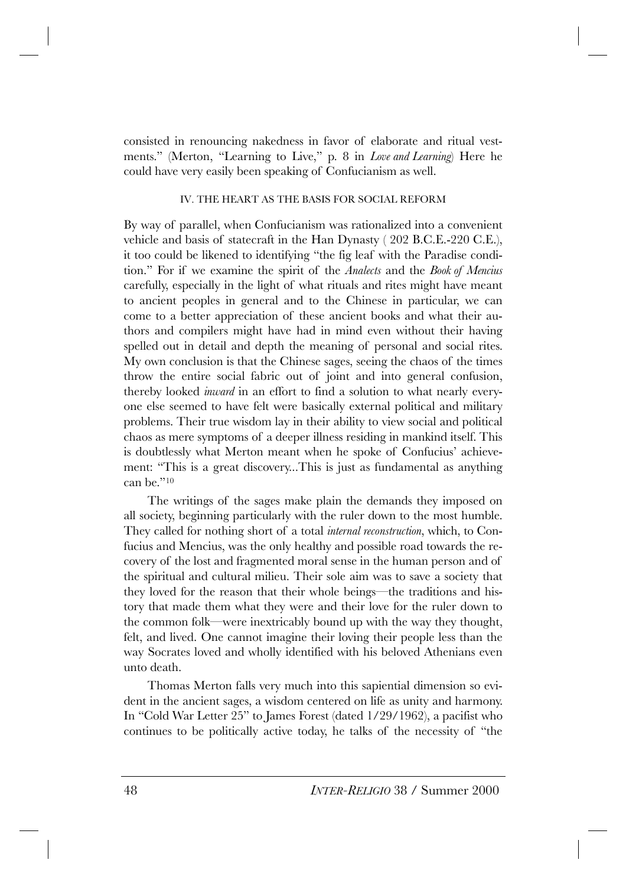consisted in renouncing nakedness in favor of elaborate and ritual vestments." (Merton, "Learning to Live," p. 8 in *Love and Learning*) Here he could have very easily been speaking of Confucianism as well.

### IV. THE HEART AS THE BASIS FOR SOCIAL REFORM

By way of parallel, when Confucianism was rationalized into a convenient vehicle and basis of statecraft in the Han Dynasty ( 202 B.C.E.-220 C.E.), it too could be likened to identifying "the fig leaf with the Paradise condition.î For if we examine the spirit of the *Analects* and the *Book of Mencius* carefully, especially in the light of what rituals and rites might have meant to ancient peoples in general and to the Chinese in particular, we can come to a better appreciation of these ancient books and what their authors and compilers might have had in mind even without their having spelled out in detail and depth the meaning of personal and social rites. My own conclusion is that the Chinese sages, seeing the chaos of the times throw the entire social fabric out of joint and into general confusion, thereby looked *inward* in an effort to find a solution to what nearly everyone else seemed to have felt were basically external political and military problems. Their true wisdom lay in their ability to view social and political chaos as mere symptoms of a deeper illness residing in mankind itself. This is doubtlessly what Merton meant when he spoke of Confucius' achievement: "This is a great discovery...This is just as fundamental as anything can be. $10$ 

The writings of the sages make plain the demands they imposed on all society, beginning particularly with the ruler down to the most humble. They called for nothing short of a total *internal reconstruction*, which, to Confucius and Mencius, was the only healthy and possible road towards the recovery of the lost and fragmented moral sense in the human person and of the spiritual and cultural milieu. Their sole aim was to save a society that they loved for the reason that their whole beings—the traditions and history that made them what they were and their love for the ruler down to the common folk—were inextricably bound up with the way they thought, felt, and lived. One cannot imagine their loving their people less than the way Socrates loved and wholly identified with his beloved Athenians even unto death.

Thomas Merton falls very much into this sapiential dimension so evident in the ancient sages, a wisdom centered on life as unity and harmony. In "Cold War Letter  $25$ " to James Forest (dated  $1/29/1962$ ), a pacifist who continues to be politically active today, he talks of the necessity of "the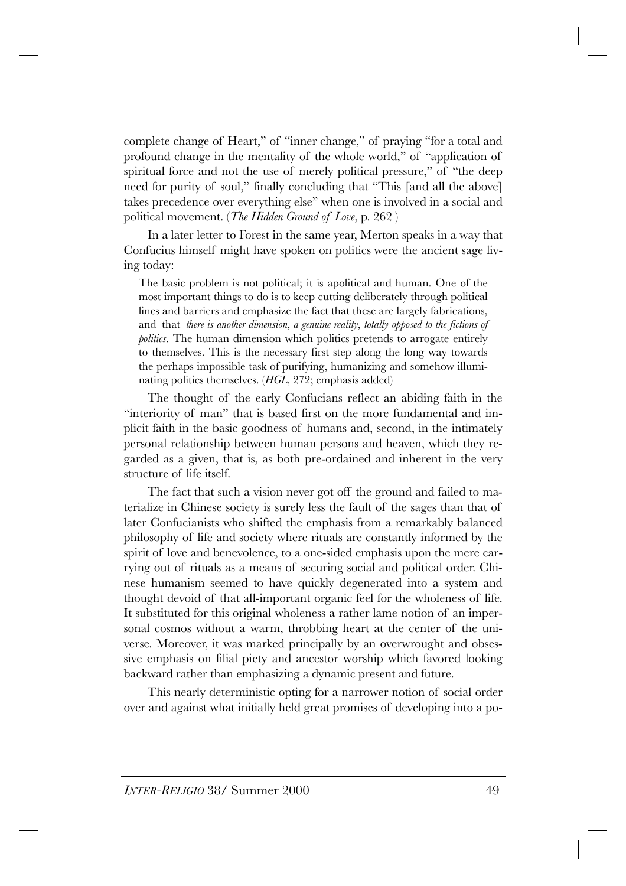complete change of Heart," of "inner change," of praying "for a total and profound change in the mentality of the whole world," of "application of spiritual force and not the use of merely political pressure," of "the deep need for purity of soul," finally concluding that "This [and all the above] takes precedence over everything else" when one is involved in a social and political movement. (*The Hidden Ground of Love*, p. 262 )

In a later letter to Forest in the same year, Merton speaks in a way that Confucius himself might have spoken on politics were the ancient sage living today:

The basic problem is not political; it is apolitical and human. One of the most important things to do is to keep cutting deliberately through political lines and barriers and emphasize the fact that these are largely fabrications, and that *there is another dimension, a genuine reality, totally opposed to the fictions of politics*. The human dimension which politics pretends to arrogate entirely to themselves. This is the necessary first step along the long way towards the perhaps impossible task of purifying, humanizing and somehow illuminating politics themselves. (*HGL*, 272; emphasis added)

The thought of the early Confucians reflect an abiding faith in the "interiority of man" that is based first on the more fundamental and implicit faith in the basic goodness of humans and, second, in the intimately personal relationship between human persons and heaven, which they regarded as a given, that is, as both pre-ordained and inherent in the very structure of life itself.

The fact that such a vision never got off the ground and failed to materialize in Chinese society is surely less the fault of the sages than that of later Confucianists who shifted the emphasis from a remarkably balanced philosophy of life and society where rituals are constantly informed by the spirit of love and benevolence, to a one-sided emphasis upon the mere carrying out of rituals as a means of securing social and political order. Chinese humanism seemed to have quickly degenerated into a system and thought devoid of that all-important organic feel for the wholeness of life. It substituted for this original wholeness a rather lame notion of an impersonal cosmos without a warm, throbbing heart at the center of the universe. Moreover, it was marked principally by an overwrought and obsessive emphasis on filial piety and ancestor worship which favored looking backward rather than emphasizing a dynamic present and future.

This nearly deterministic opting for a narrower notion of social order over and against what initially held great promises of developing into a po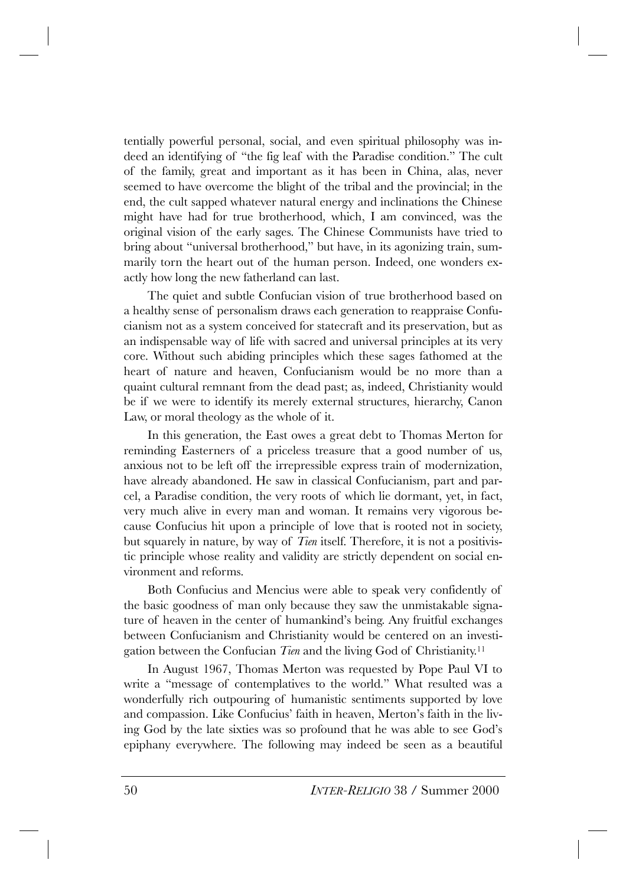tentially powerful personal, social, and even spiritual philosophy was indeed an identifying of "the fig leaf with the Paradise condition." The cult of the family, great and important as it has been in China, alas, never seemed to have overcome the blight of the tribal and the provincial; in the end, the cult sapped whatever natural energy and inclinations the Chinese might have had for true brotherhood, which, I am convinced, was the original vision of the early sages. The Chinese Communists have tried to bring about "universal brotherhood," but have, in its agonizing train, summarily torn the heart out of the human person. Indeed, one wonders exactly how long the new fatherland can last.

The quiet and subtle Confucian vision of true brotherhood based on a healthy sense of personalism draws each generation to reappraise Confucianism not as a system conceived for statecraft and its preservation, but as an indispensable way of life with sacred and universal principles at its very core. Without such abiding principles which these sages fathomed at the heart of nature and heaven, Confucianism would be no more than a quaint cultural remnant from the dead past; as, indeed, Christianity would be if we were to identify its merely external structures, hierarchy, Canon Law, or moral theology as the whole of it.

In this generation, the East owes a great debt to Thomas Merton for reminding Easterners of a priceless treasure that a good number of us, anxious not to be left off the irrepressible express train of modernization, have already abandoned. He saw in classical Confucianism, part and parcel, a Paradise condition, the very roots of which lie dormant, yet, in fact, very much alive in every man and woman. It remains very vigorous because Confucius hit upon a principle of love that is rooted not in society, but squarely in nature, by way of *Tien* itself. Therefore, it is not a positivistic principle whose reality and validity are strictly dependent on social environment and reforms.

Both Confucius and Mencius were able to speak very confidently of the basic goodness of man only because they saw the unmistakable signature of heaven in the center of humankind's being. Any fruitful exchanges between Confucianism and Christianity would be centered on an investigation between the Confucian *Tien* and the living God of Christianity.11

In August 1967, Thomas Merton was requested by Pope Paul VI to write a "message of contemplatives to the world." What resulted was a wonderfully rich outpouring of humanistic sentiments supported by love and compassion. Like Confucius' faith in heaven, Merton's faith in the living God by the late sixties was so profound that he was able to see Godís epiphany everywhere. The following may indeed be seen as a beautiful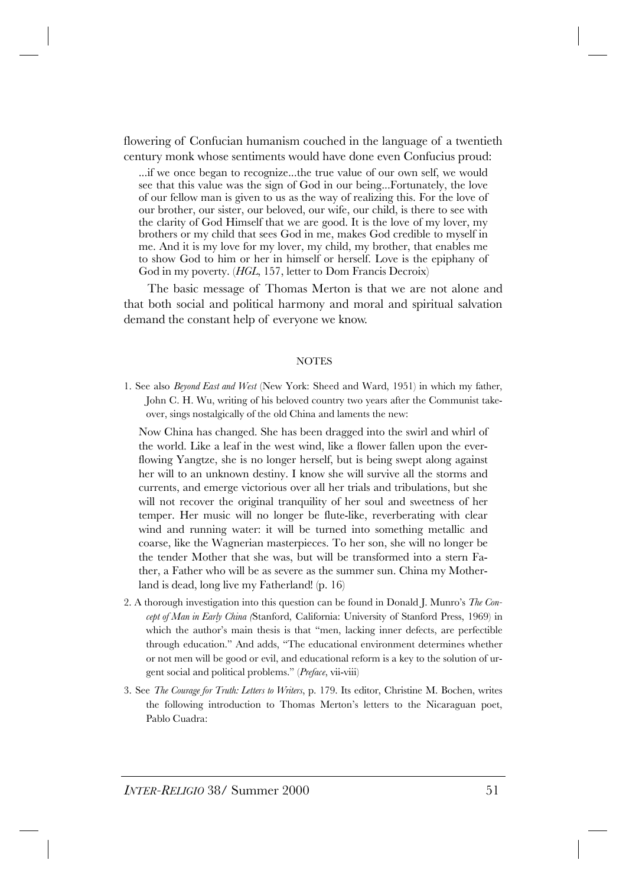flowering of Confucian humanism couched in the language of a twentieth century monk whose sentiments would have done even Confucius proud:

...if we once began to recognize...the true value of our own self, we would see that this value was the sign of God in our being...Fortunately, the love of our fellow man is given to us as the way of realizing this. For the love of our brother, our sister, our beloved, our wife, our child, is there to see with the clarity of God Himself that we are good. It is the love of my lover, my brothers or my child that sees God in me, makes God credible to myself in me. And it is my love for my lover, my child, my brother, that enables me to show God to him or her in himself or herself. Love is the epiphany of God in my poverty. (*HGL*, 157, letter to Dom Francis Decroix)

The basic message of Thomas Merton is that we are not alone and that both social and political harmony and moral and spiritual salvation demand the constant help of everyone we know.

#### **NOTES**

1. See also *Beyond East and West* (New York: Sheed and Ward, 1951) in which my father, John C. H. Wu, writing of his beloved country two years after the Communist takeover, sings nostalgically of the old China and laments the new:

Now China has changed. She has been dragged into the swirl and whirl of the world. Like a leaf in the west wind, like a flower fallen upon the everflowing Yangtze, she is no longer herself, but is being swept along against her will to an unknown destiny. I know she will survive all the storms and currents, and emerge victorious over all her trials and tribulations, but she will not recover the original tranquility of her soul and sweetness of her temper. Her music will no longer be flute-like, reverberating with clear wind and running water: it will be turned into something metallic and coarse, like the Wagnerian masterpieces. To her son, she will no longer be the tender Mother that she was, but will be transformed into a stern Father, a Father who will be as severe as the summer sun. China my Motherland is dead, long live my Fatherland! (p. 16)

- 2. A thorough investigation into this question can be found in Donald J. Munroís *The Concept of Man in Early China (*Stanford, California: University of Stanford Press, 1969) in which the author's main thesis is that "men, lacking inner defects, are perfectible through education." And adds, "The educational environment determines whether or not men will be good or evil, and educational reform is a key to the solution of urgent social and political problems.î (*Preface*, vii-viii)
- 3. See *The Courage for Truth: Letters to Writers*, p. 179. Its editor, Christine M. Bochen, writes the following introduction to Thomas Merton's letters to the Nicaraguan poet, Pablo Cuadra: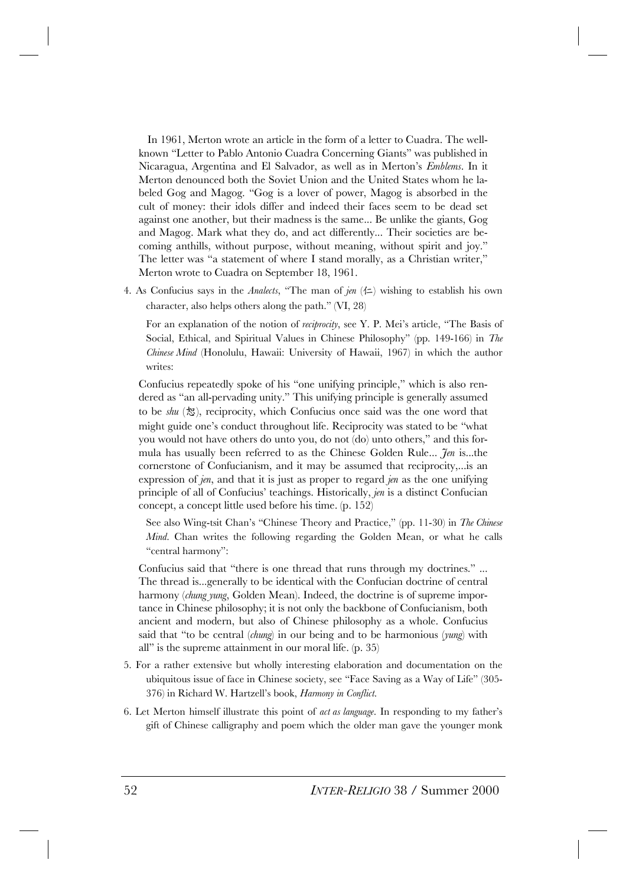In 1961, Merton wrote an article in the form of a letter to Cuadra. The wellknown "Letter to Pablo Antonio Cuadra Concerning Giants" was published in Nicaragua, Argentina and El Salvador, as well as in Mertonís *Emblems*. In it Merton denounced both the Soviet Union and the United States whom he labeled Gog and Magog. "Gog is a lover of power, Magog is absorbed in the cult of money: their idols differ and indeed their faces seem to be dead set against one another, but their madness is the same... Be unlike the giants, Gog and Magog. Mark what they do, and act differently... Their societies are becoming anthills, without purpose, without meaning, without spirit and joy." The letter was "a statement of where I stand morally, as a Christian writer," Merton wrote to Cuadra on September 18, 1961.

4. As Confucius says in the *Analects*, "The man of *jen*  $(42)$  wishing to establish his own character, also helps others along the path."  $(VI, 28)$ 

For an explanation of the notion of *reciprocity*, see Y. P. Mei's article, "The Basis of Social, Ethical, and Spiritual Values in Chinese Philosophyî (pp. 149-166) in *The Chinese Mind* (Honolulu, Hawaii: University of Hawaii, 1967) in which the author writes:

Confucius repeatedly spoke of his "one unifying principle," which is also rendered as "an all-pervading unity." This unifying principle is generally assumed to be *shu* (恕), reciprocity, which Confucius once said was the one word that might guide one's conduct throughout life. Reciprocity was stated to be "what you would not have others do unto you, do not (do) unto others," and this formula has usually been referred to as the Chinese Golden Rule... *Jen* is...the cornerstone of Confucianism, and it may be assumed that reciprocity,...is an expression of *jen*, and that it is just as proper to regard *jen* as the one unifying principle of all of Confucius' teachings. Historically, *jen* is a distinct Confucian concept, a concept little used before his time. (p. 152)

See also Wing-tsit Chan's "Chinese Theory and Practice," (pp. 11-30) in *The Chinese Mind*. Chan writes the following regarding the Golden Mean, or what he calls "central harmony":

Confucius said that "there is one thread that runs through my doctrines." ... The thread is...generally to be identical with the Confucian doctrine of central harmony (*chung yung*, Golden Mean). Indeed, the doctrine is of supreme importance in Chinese philosophy; it is not only the backbone of Confucianism, both ancient and modern, but also of Chinese philosophy as a whole. Confucius said that "to be central *(chung*) in our being and to be harmonious *(vung*) with all" is the supreme attainment in our moral life.  $(p. 35)$ 

- 5. For a rather extensive but wholly interesting elaboration and documentation on the ubiquitous issue of face in Chinese society, see "Face Saving as a Way of Life" (305-376) in Richard W. Hartzellís book, *Harmony in Conflict*.
- 6. Let Merton himself illustrate this point of *act as language*. In responding to my fatherís gift of Chinese calligraphy and poem which the older man gave the younger monk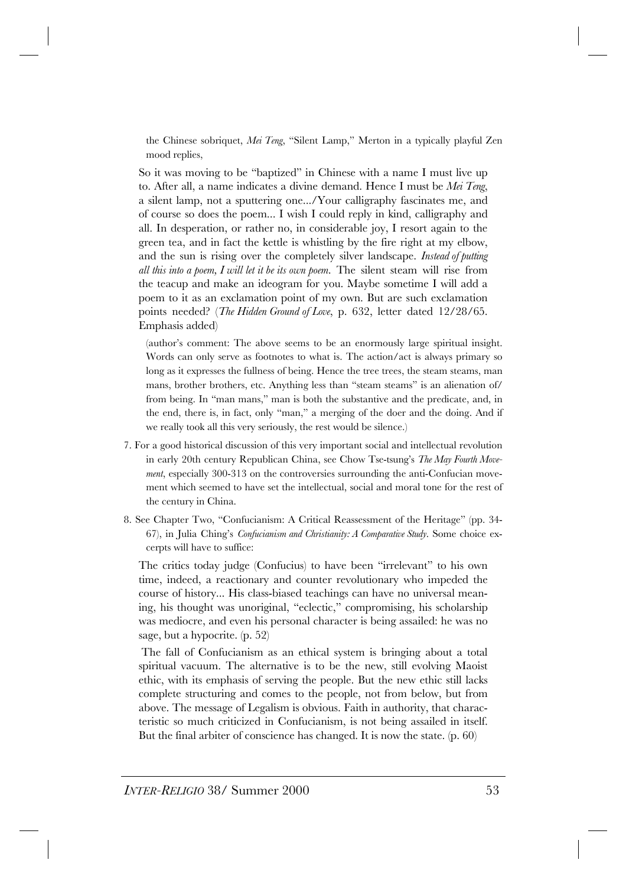the Chinese sobriquet, *Mei Teng*, "Silent Lamp," Merton in a typically playful Zen mood replies,

So it was moving to be "baptized" in Chinese with a name I must live up to. After all, a name indicates a divine demand. Hence I must be *Mei Teng*, a silent lamp, not a sputtering one.../Your calligraphy fascinates me, and of course so does the poem... I wish I could reply in kind, calligraphy and all. In desperation, or rather no, in considerable joy, I resort again to the green tea, and in fact the kettle is whistling by the fire right at my elbow, and the sun is rising over the completely silver landscape. *Instead of putting all this into a poem, I will let it be its own poem*. The silent steam will rise from the teacup and make an ideogram for you. Maybe sometime I will add a poem to it as an exclamation point of my own. But are such exclamation points needed? (*The Hidden Ground of Love*, p. 632, letter dated 12/28/65. Emphasis added)

(author's comment: The above seems to be an enormously large spiritual insight. Words can only serve as footnotes to what is. The action/act is always primary so long as it expresses the fullness of being. Hence the tree trees, the steam steams, man mans, brother brothers, etc. Anything less than "steam steams" is an alienation of/ from being. In "man mans," man is both the substantive and the predicate, and, in the end, there is, in fact, only "man," a merging of the doer and the doing. And if we really took all this very seriously, the rest would be silence.)

- 7. For a good historical discussion of this very important social and intellectual revolution in early 20th century Republican China, see Chow Tse-tsung's The May Fourth Move*ment*, especially 300-313 on the controversies surrounding the anti-Confucian movement which seemed to have set the intellectual, social and moral tone for the rest of the century in China.
- 8. See Chapter Two, "Confucianism: A Critical Reassessment of the Heritage" (pp. 34-67), in Julia Chingís *Confucianism and Christianity: A Comparative Study*. Some choice excerpts will have to suffice:

The critics today judge (Confucius) to have been "irrelevant" to his own time, indeed, a reactionary and counter revolutionary who impeded the course of history... His class-biased teachings can have no universal meaning, his thought was unoriginal, "eclectic," compromising, his scholarship was mediocre, and even his personal character is being assailed: he was no sage, but a hypocrite. (p. 52)

 The fall of Confucianism as an ethical system is bringing about a total spiritual vacuum. The alternative is to be the new, still evolving Maoist ethic, with its emphasis of serving the people. But the new ethic still lacks complete structuring and comes to the people, not from below, but from above. The message of Legalism is obvious. Faith in authority, that characteristic so much criticized in Confucianism, is not being assailed in itself. But the final arbiter of conscience has changed. It is now the state. (p. 60)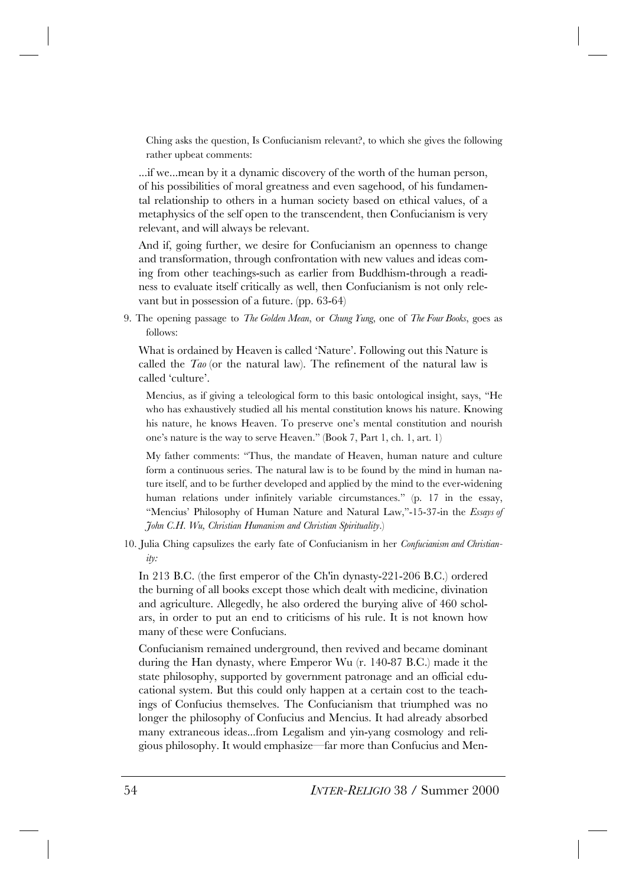Ching asks the question, Is Confucianism relevant?, to which she gives the following rather upbeat comments:

...if we...mean by it a dynamic discovery of the worth of the human person, of his possibilities of moral greatness and even sagehood, of his fundamental relationship to others in a human society based on ethical values, of a metaphysics of the self open to the transcendent, then Confucianism is very relevant, and will always be relevant.

And if, going further, we desire for Confucianism an openness to change and transformation, through confrontation with new values and ideas coming from other teachings-such as earlier from Buddhism-through a readiness to evaluate itself critically as well, then Confucianism is not only relevant but in possession of a future. (pp. 63-64)

9. The opening passage to *The Golden Mean*, or *Chung Yung*, one of *The Four Books*, goes as follows:

What is ordained by Heaven is called 'Nature'. Following out this Nature is called the *Tao* (or the natural law). The refinement of the natural law is called 'culture'.

Mencius, as if giving a teleological form to this basic ontological insight, says, "He who has exhaustively studied all his mental constitution knows his nature. Knowing his nature, he knows Heaven. To preserve one's mental constitution and nourish one's nature is the way to serve Heaven." (Book 7, Part 1, ch. 1, art. 1)

My father comments: "Thus, the mandate of Heaven, human nature and culture form a continuous series. The natural law is to be found by the mind in human nature itself, and to be further developed and applied by the mind to the ever-widening human relations under infinitely variable circumstances." (p. 17 in the essay, ìMenciusí Philosophy of Human Nature and Natural Law,î-15-37-in the *Essays of John C.H. Wu, Christian Humanism and Christian Spirituality*.)

10. Julia Ching capsulizes the early fate of Confucianism in her *Confucianism and Christianity:*

In 213 B.C. (the first emperor of the Ch'in dynasty-221-206 B.C.) ordered the burning of all books except those which dealt with medicine, divination and agriculture. Allegedly, he also ordered the burying alive of 460 scholars, in order to put an end to criticisms of his rule. It is not known how many of these were Confucians.

Confucianism remained underground, then revived and became dominant during the Han dynasty, where Emperor Wu (r. 140-87 B.C.) made it the state philosophy, supported by government patronage and an official educational system. But this could only happen at a certain cost to the teachings of Confucius themselves. The Confucianism that triumphed was no longer the philosophy of Confucius and Mencius. It had already absorbed many extraneous ideas...from Legalism and yin-yang cosmology and religious philosophy. It would emphasize—far more than Confucius and Men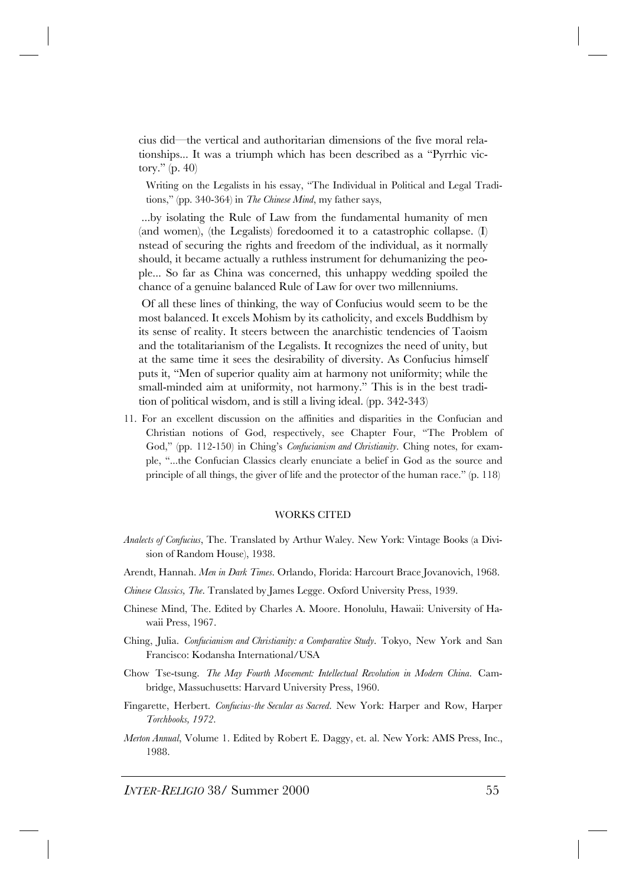cius did—the vertical and authoritarian dimensions of the five moral relationships... It was a triumph which has been described as a "Pyrrhic victory."  $(p. 40)$ 

Writing on the Legalists in his essay, "The Individual in Political and Legal Traditions," (pp. 340-364) in *The Chinese Mind*, my father says,

 ...by isolating the Rule of Law from the fundamental humanity of men (and women), (the Legalists) foredoomed it to a catastrophic collapse. (I) nstead of securing the rights and freedom of the individual, as it normally should, it became actually a ruthless instrument for dehumanizing the people... So far as China was concerned, this unhappy wedding spoiled the chance of a genuine balanced Rule of Law for over two millenniums.

 Of all these lines of thinking, the way of Confucius would seem to be the most balanced. It excels Mohism by its catholicity, and excels Buddhism by its sense of reality. It steers between the anarchistic tendencies of Taoism and the totalitarianism of the Legalists. It recognizes the need of unity, but at the same time it sees the desirability of diversity. As Confucius himself puts it, "Men of superior quality aim at harmony not uniformity; while the small-minded aim at uniformity, not harmony." This is in the best tradition of political wisdom, and is still a living ideal. (pp. 342-343)

11. For an excellent discussion on the affinities and disparities in the Confucian and Christian notions of God, respectively, see Chapter Four, "The Problem of God," (pp. 112-150) in Ching's *Confucianism and Christianity*. Ching notes, for example, "...the Confucian Classics clearly enunciate a belief in God as the source and principle of all things, the giver of life and the protector of the human race."  $(p. 118)$ 

#### WORKS CITED

- *Analects of Confucius*, The. Translated by Arthur Waley. New York: Vintage Books (a Division of Random House), 1938.
- Arendt, Hannah. *Men in Dark Times*. Orlando, Florida: Harcourt Brace Jovanovich, 1968.
- *Chinese Classics, The*. Translated by James Legge. Oxford University Press, 1939.
- Chinese Mind, The. Edited by Charles A. Moore. Honolulu, Hawaii: University of Hawaii Press, 1967.
- Ching, Julia. *Confucianism and Christianity: a Comparative Study*. Tokyo, New York and San Francisco: Kodansha International/USA
- Chow Tse-tsung. *The May Fourth Movement: Intellectual Revolution in Modern China*. Cambridge, Massuchusetts: Harvard University Press, 1960.
- Fingarette, Herbert. *Confucius-the Secular as Sacred*. New York: Harper and Row, Harper *Torchbooks, 1972.*
- *Merton Annual*, Volume 1. Edited by Robert E. Daggy, et. al. New York: AMS Press, Inc., 1988.